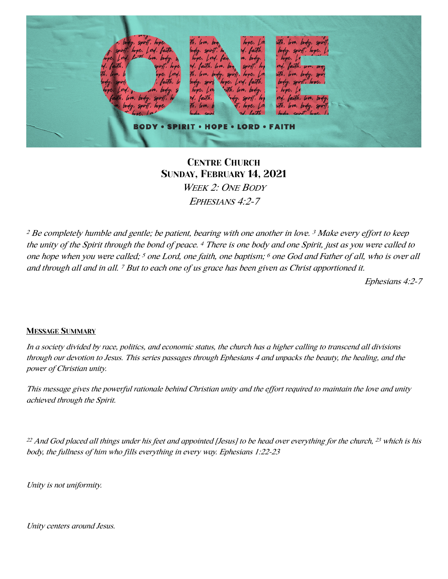

## CENTRE CHURCH SUNDAY, FEBRUARY 14, 2021 *WEEK 2: ONE BODY EPHESIANS 4:2-7*

*<sup>2</sup> Be completely humble and gentle; be patient, bearing with one another in love. 3 Make every e*ff*ort to keep the unity of the Spirit through the bond of peace. <sup>4</sup> There is one body and one Spirit, just as you were called to one hope when you were called; <sup>5</sup> one Lord, one faith, one baptism; <sup>6</sup> one God and Father of all, who is over all and through all and in all. 7 But to each one of us grace has been given as Christ apportioned it.* 

*Ephesians 4:2-7*

#### MESSAGE SUMMARY

*In a society divided by race, politics, and economic status, the church has a higher calling to transcend all divisions through our devotion to Jesus. This series passages through Ephesians 4 and unpacks the beauty, the healing, and the power of Christian unity.*

*This message gives the powerful rationale behind Christian unity and the e*ff*ort required to maintain the love and unity achieved through the Spirit.* 

*<sup>22</sup> And God placed all things under his feet and appointed [Jesus] to be head over everything for the church, <sup>23</sup> which is his body, the fullness of him who* fi*lls everything in every way. Ephesians 1:22-23*

*Unity is not uniformity.*

*Unity centers around Jesus.*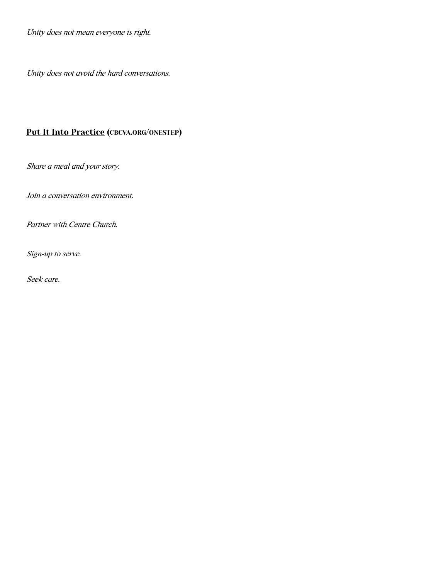*Unity does not mean everyone is right.*

*Unity does not avoid the hard conversations.*

#### Put It Into Practice [\(CBCVA.ORG/ONESTEP\)](http://cbcva.org/onestep)

*Share a meal and your story.*

*Join a conversation environment.*

*Partner with Centre Church.*

*Sign-up to serve.*

*Seek care.*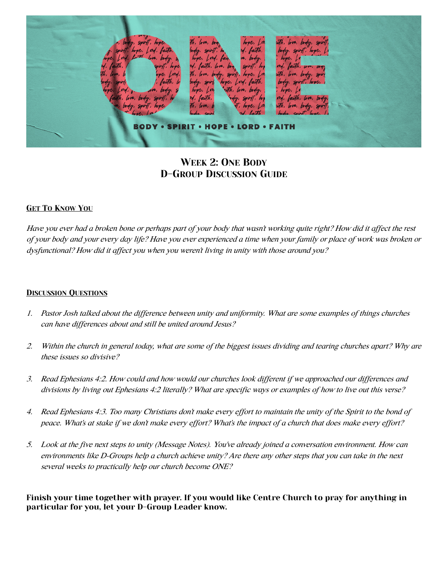

## WEEK 2: ONE BODY D-GROUP DISCUSSION GUIDE

#### GET TO KNOW YOU

*Have you ever had a broken bone or perhaps part of your body that wasn't working quite right? How did it a*ff*ect the rest of your body and your every day life? Have you ever experienced a time when your family or place of work was broken or dysfunctional? How did it a*ff*ect you when you weren't living in unity with those around you?*

#### DISCUSSION QUESTIONS

- *1. Pastor Josh talked about the di*ff*erence between unity and uniformity. What are some examples of things churches can have di*ff*erences about and still be united around Jesus?*
- *2. Within the church in general today, what are some of the biggest issues dividing and tearing churches apart? Why are these issues so divisive?*
- *3. Read Ephesians 4:2. How could and how would our churches look di*ff*erent if we approached our di*ff*erences and divisions by living out Ephesians 4:2 literally? What are speci*fi*c ways or examples of how to live out this verse?*
- *4. Read Ephesians 4:3. Too many Christians don't make every e*ff*ort to maintain the unity of the Spirit to the bond of peace. What's at stake if we don't make every e*ff*ort? What's the impact of a church that does make every e*ff*ort?*
- *5. Look at the* fi*ve next steps to unity (Message Notes). You've already joined a conversation environment. How can environments like D-Groups help a church achieve unity? Are there any other steps that you can take in the next several weeks to practically help our church become ONE?*

Finish your time together with prayer. If you would like Centre Church to pray for anything in particular for you, let your D-Group Leader know.